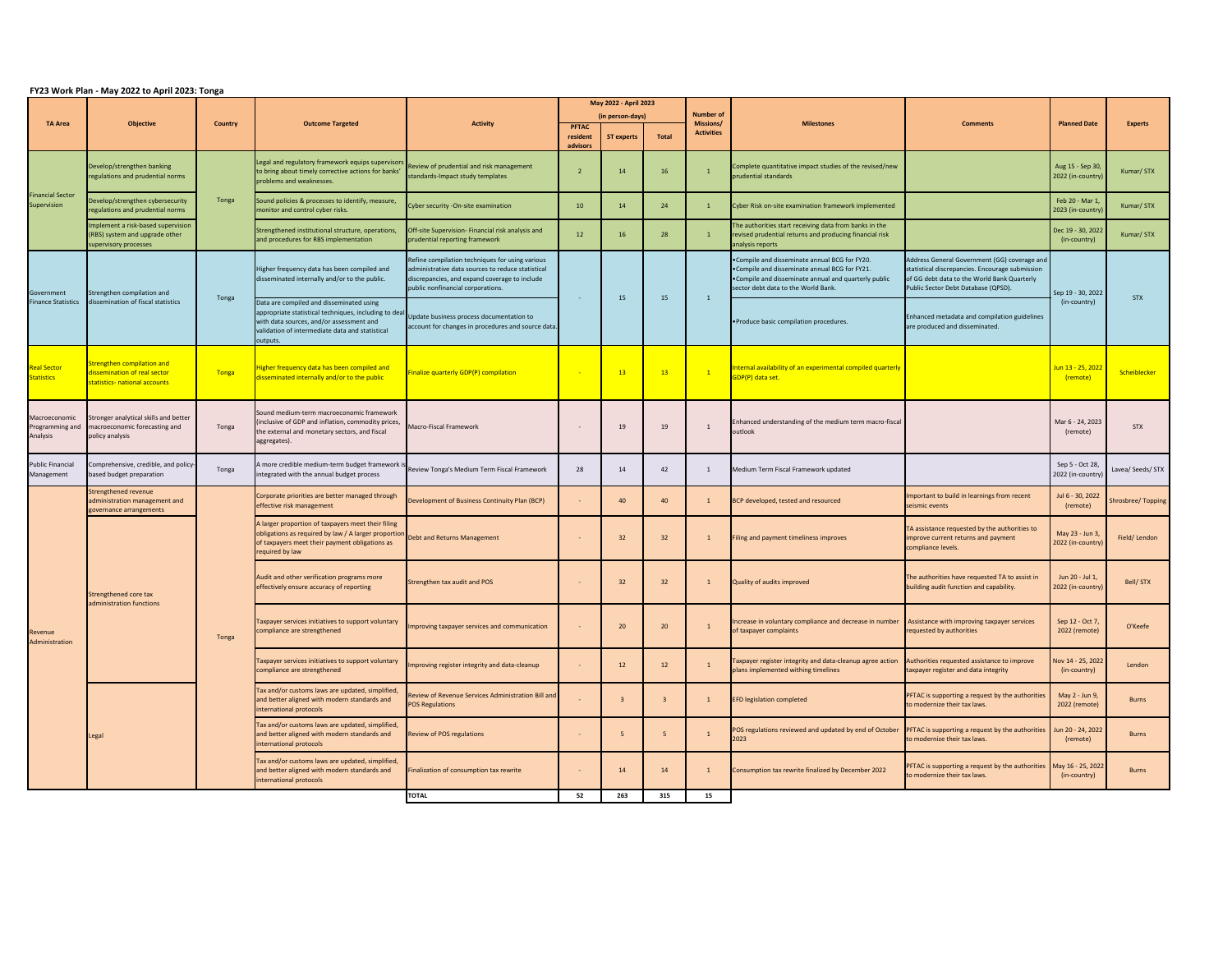## **FY23 Work Plan - May 2022 to April 2023: Tonga**

| <b>TA Area</b>                               | Objective                                                                                     | <b>Country</b> | <b>Outcome Targeted</b>                                                                                                                                                                                      | <b>Activity</b>                                                                                                                                                                            | May 2022 - April 2023            |                   |              | <b>Number of</b><br>Missions/ | <b>Milestones</b>                                                                                                                                                                              | <b>Comments</b>                                                                                                                                                                       | <b>Planned Date</b>                   | <b>Experts</b>    |
|----------------------------------------------|-----------------------------------------------------------------------------------------------|----------------|--------------------------------------------------------------------------------------------------------------------------------------------------------------------------------------------------------------|--------------------------------------------------------------------------------------------------------------------------------------------------------------------------------------------|----------------------------------|-------------------|--------------|-------------------------------|------------------------------------------------------------------------------------------------------------------------------------------------------------------------------------------------|---------------------------------------------------------------------------------------------------------------------------------------------------------------------------------------|---------------------------------------|-------------------|
|                                              |                                                                                               |                |                                                                                                                                                                                                              |                                                                                                                                                                                            | (in person-days)<br><b>PFTAC</b> |                   |              |                               |                                                                                                                                                                                                |                                                                                                                                                                                       |                                       |                   |
|                                              |                                                                                               |                |                                                                                                                                                                                                              |                                                                                                                                                                                            | resident                         | <b>ST experts</b> | <b>Total</b> | <b>Activities</b>             |                                                                                                                                                                                                |                                                                                                                                                                                       |                                       |                   |
| <b>Financial Sector</b><br>Supervision       | Develop/strengthen banking<br>regulations and prudential norms                                |                | Legal and regulatory framework equips supervisors<br>to bring about timely corrective actions for banks'<br>problems and weaknesses.                                                                         | Review of prudential and risk management<br>standards-Impact study templates                                                                                                               | advisors<br>- 2                  | 14                | 16           |                               | Complete quantitative impact studies of the revised/new<br>prudential standards                                                                                                                |                                                                                                                                                                                       | Aug 15 - Sep 30,<br>2022 (in-country) | Kumar/STX         |
|                                              | Develop/strengthen cybersecurity<br>regulations and prudential norms                          | Tonga          | Sound policies & processes to identify, measure,<br>monitor and control cyber risks.                                                                                                                         | Cyber security -On-site examination                                                                                                                                                        | 10                               | 14                | 24           |                               | Cyber Risk on-site examination framework implemented                                                                                                                                           |                                                                                                                                                                                       | Feb 20 - Mar 1<br>2023 (in-country)   | Kumar/STX         |
|                                              | Implement a risk-based supervision<br>(RBS) system and upgrade other<br>supervisory processes |                | Strengthened institutional structure, operations,<br>and procedures for RBS implementation                                                                                                                   | Off-site Supervision- Financial risk analysis and<br>prudential reporting framework                                                                                                        | 12                               | 16                | 28           |                               | The authorities start receiving data from banks in the<br>revised prudential returns and producing financial risk<br>analysis reports                                                          |                                                                                                                                                                                       | Dec 19 - 30, 2022<br>(in-country)     | Kumar/STX         |
| Government<br><b>Finance Statistics</b>      | Strengthen compilation and<br>dissemination of fiscal statistics                              | Tonga          | Higher frequency data has been compiled and<br>disseminated internally and/or to the public.                                                                                                                 | Refine compilation techniques for using various<br>administrative data sources to reduce statistical<br>discrepancies, and expand coverage to include<br>public nonfinancial corporations. |                                  | 15                | 15           |                               | .Compile and disseminate annual BCG for FY20.<br>. Compile and disseminate annual BCG for FY21.<br>•Compile and disseminate annual and quarterly public<br>sector debt data to the World Bank. | Address General Government (GG) coverage and<br>statistical discrepancies. Encourage submission<br>of GG debt data to the World Bank Quarterly<br>Public Sector Debt Database (QPSD). | Sep 19 - 30, 2022<br>(in-country)     | <b>STX</b>        |
|                                              |                                                                                               |                | Data are compiled and disseminated using<br>appropriate statistical techniques, including to deal<br>with data sources, and/or assessment and<br>validation of intermediate data and statistical<br>outputs. | Update business process documentation to<br>account for changes in procedures and source data.                                                                                             |                                  |                   |              |                               | . Produce basic compilation procedures.                                                                                                                                                        | Enhanced metadata and compilation guidelines<br>are produced and disseminated.                                                                                                        |                                       |                   |
| <b>Real Sector</b><br><b>Statistics</b>      | Strengthen compilation and<br>dissemination of real sector<br>statistics- national accounts   | <b>Tonga</b>   | Higher frequency data has been compiled and<br>disseminated internally and/or to the public                                                                                                                  | inalize quarterly GDP(P) compilation                                                                                                                                                       |                                  | 13                | 13           | $\mathbf{1}$                  | Internal availability of an experimental compiled quarterly<br>GDP(P) data set.                                                                                                                |                                                                                                                                                                                       | Jun 13 - 25, 2022<br>(remote)         | Scheiblecker      |
| Macroeconomic<br>Programming and<br>Analysis | Stronger analytical skills and better<br>macroeconomic forecasting and<br>policy analysis     | Tonga          | Sound medium-term macroeconomic framework<br>(inclusive of GDP and inflation, commodity prices,<br>the external and monetary sectors, and fiscal<br>aggregates).                                             | Macro-Fiscal Framework                                                                                                                                                                     |                                  | 19                | 19           | -1                            | Enhanced understanding of the medium term macro-fiscal<br>outlook                                                                                                                              |                                                                                                                                                                                       | Mar 6 - 24, 2023<br>(remote)          | <b>STX</b>        |
| <b>Public Financial</b><br>Management        | Comprehensive, credible, and policy<br>based budget preparation                               | Tonga          | A more credible medium-term budget framework is<br>integrated with the annual budget process                                                                                                                 | Review Tonga's Medium Term Fiscal Framework                                                                                                                                                | 28                               | 14                | 42           |                               | Medium Term Fiscal Framework updated                                                                                                                                                           |                                                                                                                                                                                       | Sep 5 - Oct 28,<br>2022 (in-country)  | Lavea/ Seeds/ STX |
| Revenue<br>Administration                    | Strengthened revenue<br>administration management and<br>governance arrangements              | Tonga          | Corporate priorities are better managed through<br>effective risk management                                                                                                                                 | Development of Business Continuity Plan (BCP)                                                                                                                                              |                                  | 40                | 40           |                               | BCP developed, tested and resourced                                                                                                                                                            | Important to build in learnings from recent<br>seismic events                                                                                                                         | Jul 6 - 30, 2022<br>(remote)          | Shrosbree/Topping |
|                                              | <b>Strengthened core tax</b><br>administration functions                                      |                | A larger proportion of taxpayers meet their filing<br>obligations as required by law / A larger proportion<br>of taxpayers meet their payment obligations as<br>required by law                              | Debt and Returns Management                                                                                                                                                                |                                  | 32                | 32           |                               | iling and payment timeliness improves                                                                                                                                                          | TA assistance requested by the authorities to<br>improve current returns and payment<br>compliance levels.                                                                            | May 23 - Jun 3,<br>2022 (in-country)  | Field/Lendon      |
|                                              |                                                                                               |                | Audit and other verification programs more<br>effectively ensure accuracy of reporting                                                                                                                       | Strengthen tax audit and POS                                                                                                                                                               |                                  | 32                | 32           |                               | <b>Quality of audits improved</b>                                                                                                                                                              | The authorities have requested TA to assist in<br>building audit function and capability.                                                                                             | Jun 20 - Jul 1,<br>2022 (in-country)  | Bell/STX          |
|                                              |                                                                                               |                | Taxpayer services initiatives to support voluntary<br>compliance are strengthened                                                                                                                            | Improving taxpayer services and communication                                                                                                                                              |                                  | 20                | 20           |                               | Increase in voluntary compliance and decrease in number Assistance with improving taxpayer services<br>of taxpayer complaints                                                                  | requested by authorities                                                                                                                                                              | Sep 12 - Oct 7,<br>2022 (remote)      | O'Keefe           |
|                                              |                                                                                               |                | Taxpayer services initiatives to support voluntary<br>compliance are strengthened                                                                                                                            | Improving register integrity and data-cleanup                                                                                                                                              |                                  | 12                | 12           |                               | axpayer register integrity and data-cleanup agree action<br>plans implemented withing timelines                                                                                                | Authorities requested assistance to improve<br>taxpayer register and data integrity                                                                                                   | Nov 14 - 25, 2022<br>(in-country)     | Lendon            |
|                                              | egal.                                                                                         |                | Tax and/or customs laws are updated, simplified,<br>and better aligned with modern standards and<br>international protocols                                                                                  | Review of Revenue Services Administration Bill and<br><b>POS Regulations</b>                                                                                                               |                                  |                   |              |                               | <b>EFD legislation completed</b>                                                                                                                                                               | PFTAC is supporting a request by the authorities<br>to modernize their tax laws.                                                                                                      | May 2 - Jun 9,<br>2022 (remote)       | <b>Burns</b>      |
|                                              |                                                                                               |                | Tax and/or customs laws are updated, simplified,<br>and better aligned with modern standards and<br>international protocols                                                                                  | <b>Review of POS regulations</b>                                                                                                                                                           |                                  |                   |              |                               | POS regulations reviewed and updated by end of October<br>2023                                                                                                                                 | PFTAC is supporting a request by the authorities<br>to modernize their tax laws.                                                                                                      | Jun 20 - 24, 2022<br>(remote)         | <b>Burns</b>      |
|                                              |                                                                                               |                | Tax and/or customs laws are updated, simplified,<br>and better aligned with modern standards and<br>international protocols                                                                                  | Finalization of consumption tax rewrite                                                                                                                                                    |                                  | 14                | 14           |                               | Consumption tax rewrite finalized by December 2022                                                                                                                                             | <b>PFTAC</b> is supporting a request by the authorities<br>to modernize their tax laws.                                                                                               | May 16 - 25, 2022<br>(in-country)     | <b>Burns</b>      |
|                                              |                                                                                               | <b>TOTAL</b>   | 52                                                                                                                                                                                                           | 263                                                                                                                                                                                        | 315                              | 15                |              |                               |                                                                                                                                                                                                |                                                                                                                                                                                       |                                       |                   |